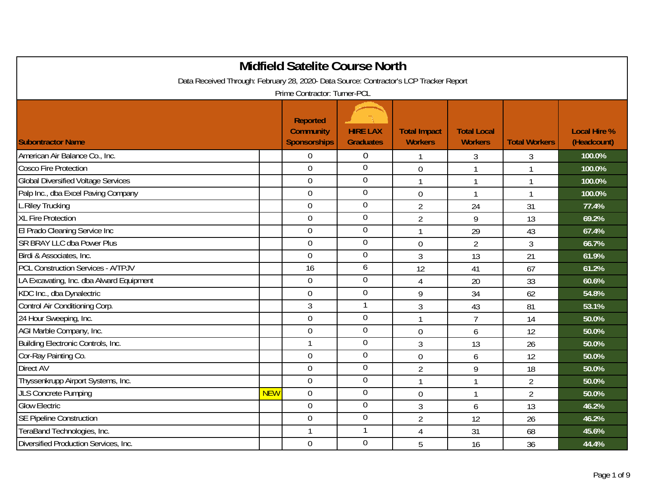| <b>Midfield Satelite Course North</b>                                                  |            |                                         |                                     |                                       |                                      |                      |                                    |  |  |
|----------------------------------------------------------------------------------------|------------|-----------------------------------------|-------------------------------------|---------------------------------------|--------------------------------------|----------------------|------------------------------------|--|--|
| Data Received Through: February 28, 2020- Data Source: Contractor's LCP Tracker Report |            |                                         |                                     |                                       |                                      |                      |                                    |  |  |
| Prime Contractor: Turner-PCL                                                           |            |                                         |                                     |                                       |                                      |                      |                                    |  |  |
|                                                                                        |            | <b>Reported</b>                         |                                     |                                       |                                      |                      |                                    |  |  |
| <b>Subontractor Name</b>                                                               |            | <b>Community</b><br><b>Sponsorships</b> | <b>HIRE LAX</b><br><b>Graduates</b> | <b>Total Impact</b><br><b>Workers</b> | <b>Total Local</b><br><b>Workers</b> | <b>Total Workers</b> | <b>Local Hire %</b><br>(Headcount) |  |  |
| American Air Balance Co., Inc.                                                         |            | $\overline{0}$                          | $\mathbf 0$                         | 1                                     | 3                                    | 3                    | 100.0%                             |  |  |
| <b>Cosco Fire Protection</b>                                                           |            | $\overline{0}$                          | $\overline{0}$                      | $\overline{0}$                        | 1                                    |                      | 100.0%                             |  |  |
| <b>Global Diversified Voltage Services</b>                                             |            | $\overline{0}$                          | $\overline{0}$                      | $\mathbf{1}$                          | $\mathbf{1}$                         | $\mathbf{1}$         | 100.0%                             |  |  |
| Palp Inc., dba Excel Paving Company                                                    |            | $\overline{0}$                          | $\overline{0}$                      | $\mathbf 0$                           | $\mathbf{1}$                         | $\mathbf{1}$         | 100.0%                             |  |  |
| L.Riley Trucking                                                                       |            | $\mathbf 0$                             | $\boldsymbol{0}$                    | $\overline{2}$                        | 24                                   | 31                   | 77.4%                              |  |  |
| <b>XL Fire Protection</b>                                                              |            | $\overline{0}$                          | $\overline{0}$                      | $\overline{2}$                        | 9                                    | 13                   | 69.2%                              |  |  |
| El Prado Cleaning Service Inc                                                          |            | $\Omega$                                | $\overline{0}$                      | $\mathbf{1}$                          | 29                                   | 43                   | 67.4%                              |  |  |
| <b>SR BRAY LLC dba Power Plus</b>                                                      |            | $\overline{0}$                          | $\boldsymbol{0}$                    | $\mathbf 0$                           | $\overline{2}$                       | 3                    | 66.7%                              |  |  |
| Birdi & Associates, Inc.                                                               |            | $\overline{0}$                          | $\mathbf 0$                         | 3                                     | 13                                   | 21                   | 61.9%                              |  |  |
| <b>PCL Construction Services - A/TPJV</b>                                              |            | 16                                      | 6                                   | 12                                    | 41                                   | 67                   | 61.2%                              |  |  |
| LA Excavating, Inc. dba Alward Equipment                                               |            | $\mathbf 0$                             | $\boldsymbol{0}$                    | $\overline{4}$                        | 20                                   | 33                   | 60.6%                              |  |  |
| KDC Inc., dba Dynalectric                                                              |            | $\overline{0}$                          | $\overline{0}$                      | 9                                     | 34                                   | 62                   | 54.8%                              |  |  |
| Control Air Conditioning Corp.                                                         |            | 3                                       | $\mathbf{1}$                        | 3                                     | 43                                   | 81                   | 53.1%                              |  |  |
| 24 Hour Sweeping, Inc.                                                                 |            | $\overline{0}$                          | $\overline{0}$                      | $\mathbf{1}$                          | $\overline{7}$                       | 14                   | 50.0%                              |  |  |
| AGI Marble Company, Inc.                                                               |            | $\overline{0}$                          | $\mathbf 0$                         | $\overline{0}$                        | 6                                    | 12                   | 50.0%                              |  |  |
| Building Electronic Controls, Inc.                                                     |            |                                         | $\overline{0}$                      | 3                                     | 13                                   | 26                   | 50.0%                              |  |  |
| Cor-Ray Painting Co.                                                                   |            | $\overline{0}$                          | $\overline{0}$                      | $\mathbf 0$                           | 6                                    | 12                   | 50.0%                              |  |  |
| Direct AV                                                                              |            | $\overline{0}$                          | $\mathbf 0$                         | $\overline{2}$                        | 9                                    | 18                   | 50.0%                              |  |  |
| Thyssenkrupp Airport Systems, Inc.                                                     |            | $\overline{0}$                          | $\boldsymbol{0}$                    |                                       | 1                                    | $\overline{2}$       | 50.0%                              |  |  |
| <b>JLS Concrete Pumping</b>                                                            | <b>NEW</b> | $\overline{0}$                          | $\mathbf 0$                         | $\mathbf 0$                           | $\mathbf{1}$                         | $\overline{2}$       | 50.0%                              |  |  |
| <b>Glow Electric</b>                                                                   |            | $\overline{0}$                          | $\overline{0}$                      | $\overline{3}$                        | 6                                    | 13                   | 46.2%                              |  |  |
| <b>SE Pipeline Construction</b>                                                        |            | $\mathbf 0$                             | $\theta$                            | $\overline{2}$                        | 12                                   | 26                   | 46.2%                              |  |  |
| TeraBand Technologies, Inc.                                                            |            | 1                                       |                                     | 4                                     | 31                                   | 68                   | 45.6%                              |  |  |
| Diversified Production Services, Inc.                                                  |            | $\overline{0}$                          | $\overline{0}$                      | 5                                     | 16                                   | 36                   | 44.4%                              |  |  |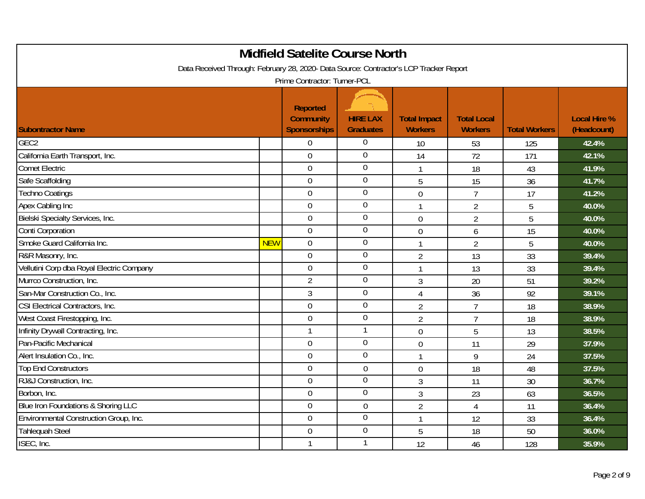|                                                                                                                        |            | <b>Midfield Satelite Course North</b>                      |                                     |                                       |                                      |                      |                                    |  |  |
|------------------------------------------------------------------------------------------------------------------------|------------|------------------------------------------------------------|-------------------------------------|---------------------------------------|--------------------------------------|----------------------|------------------------------------|--|--|
| Data Received Through: February 28, 2020- Data Source: Contractor's LCP Tracker Report<br>Prime Contractor: Turner-PCL |            |                                                            |                                     |                                       |                                      |                      |                                    |  |  |
| <b>Subontractor Name</b>                                                                                               |            | <b>Reported</b><br><b>Community</b><br><b>Sponsorships</b> | <b>HIRE LAX</b><br><b>Graduates</b> | <b>Total Impact</b><br><b>Workers</b> | <b>Total Local</b><br><b>Workers</b> | <b>Total Workers</b> | <b>Local Hire %</b><br>(Headcount) |  |  |
| GEC <sub>2</sub>                                                                                                       |            | $\overline{0}$                                             | $\boldsymbol{0}$                    | 10                                    | 53                                   | 125                  | 42.4%                              |  |  |
| California Earth Transport, Inc.                                                                                       |            | $\overline{0}$                                             | $\overline{0}$                      | 14                                    | 72                                   | 171                  | 42.1%                              |  |  |
| <b>Comet Electric</b>                                                                                                  |            | $\mathbf 0$                                                | $\overline{0}$                      | $\mathbf{1}$                          | 18                                   | 43                   | 41.9%                              |  |  |
| Safe Scaffolding                                                                                                       |            | $\overline{0}$                                             | $\overline{0}$                      | 5                                     | 15                                   | 36                   | 41.7%                              |  |  |
| <b>Techno Coatings</b>                                                                                                 |            | $\overline{0}$                                             | $\boldsymbol{0}$                    | $\overline{0}$                        | $\overline{7}$                       | 17                   | 41.2%                              |  |  |
| Apex Cabling Inc                                                                                                       |            | $\overline{0}$                                             | $\mathbf 0$                         | $\mathbf{1}$                          | $\overline{2}$                       | 5                    | 40.0%                              |  |  |
| Bielski Specialty Services, Inc.                                                                                       |            | $\mathbf 0$                                                | $\mathbf 0$                         | $\overline{0}$                        | $\overline{2}$                       | 5                    | 40.0%                              |  |  |
| Conti Corporation                                                                                                      |            | $\mathbf 0$                                                | $\boldsymbol{0}$                    | $\mathbf 0$                           | 6                                    | 15                   | 40.0%                              |  |  |
| Smoke Guard California Inc.                                                                                            | <b>NEW</b> | $\overline{0}$                                             | $\mathbf 0$                         | $\mathbf{1}$                          | $\overline{2}$                       | 5                    | 40.0%                              |  |  |
| R&R Masonry, Inc.                                                                                                      |            | $\theta$                                                   | $\mathbf 0$                         | $\overline{2}$                        | 13                                   | 33                   | 39.4%                              |  |  |
| Vellutini Corp dba Royal Electric Company                                                                              |            | $\mathbf 0$                                                | $\mathbf 0$                         | 1                                     | 13                                   | 33                   | 39.4%                              |  |  |
| Murrco Construction, Inc.                                                                                              |            | $\overline{2}$                                             | $\mathbf 0$                         | 3                                     | 20                                   | 51                   | 39.2%                              |  |  |
| San-Mar Construction Co., Inc.                                                                                         |            | 3                                                          | $\mathbf 0$                         | 4                                     | 36                                   | 92                   | 39.1%                              |  |  |
| CSI Electrical Contractors, Inc.                                                                                       |            | $\mathbf 0$                                                | $\overline{0}$                      | $\overline{2}$                        | $\overline{7}$                       | 18                   | 38.9%                              |  |  |
| West Coast Firestopping, Inc.                                                                                          |            | $\overline{0}$                                             | $\overline{0}$                      | $\overline{2}$                        | $\overline{7}$                       | 18                   | 38.9%                              |  |  |
| Infinity Drywall Contracting, Inc.                                                                                     |            | $\mathbf{1}$                                               | 1                                   | $\overline{0}$                        | 5                                    | 13                   | 38.5%                              |  |  |
| Pan-Pacific Mechanical                                                                                                 |            | $\overline{0}$                                             | $\mathbf 0$                         | $\overline{0}$                        | 11                                   | 29                   | 37.9%                              |  |  |
| Alert Insulation Co., Inc.                                                                                             |            | $\mathbf 0$                                                | $\mathbf 0$                         | $\mathbf{1}$                          | 9                                    | 24                   | 37.5%                              |  |  |
| <b>Top End Constructors</b>                                                                                            |            | $\overline{0}$                                             | $\mathbf 0$                         | $\mathbf 0$                           | 18                                   | 48                   | 37.5%                              |  |  |
| RJ&J Construction, Inc.                                                                                                |            | $\overline{0}$                                             | $\mathbf 0$                         | 3                                     | 11                                   | 30                   | 36.7%                              |  |  |
| Borbon, Inc.                                                                                                           |            | $\overline{0}$                                             | $\mathbf 0$                         | 3                                     | 23                                   | 63                   | 36.5%                              |  |  |
| Blue Iron Foundations & Shoring LLC                                                                                    |            | $\mathbf 0$                                                | $\boldsymbol{0}$                    | $\overline{2}$                        | $\overline{4}$                       | 11                   | 36.4%                              |  |  |
| Environmental Construction Group, Inc.                                                                                 |            | $\overline{0}$                                             | $\mathbf 0$                         | $\mathbf{1}$                          | 12                                   | 33                   | 36.4%                              |  |  |
| <b>Tahlequah Steel</b>                                                                                                 |            | $\mathbf 0$                                                | $\overline{0}$                      | 5                                     | 18                                   | 50                   | 36.0%                              |  |  |
| ISEC, Inc.                                                                                                             |            |                                                            | 1                                   | 12                                    | 46                                   | 128                  | 35.9%                              |  |  |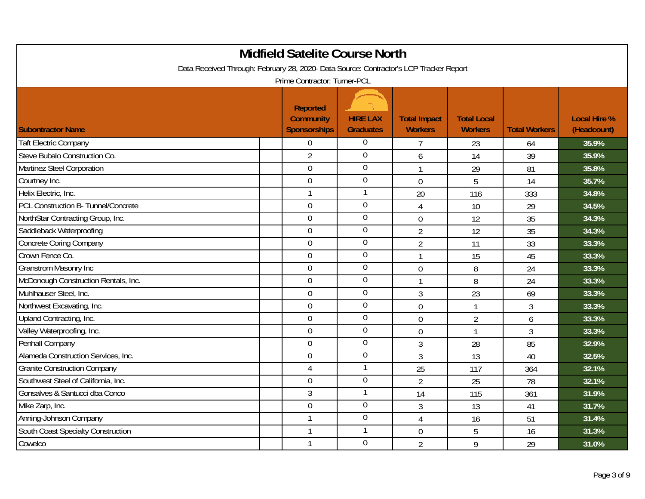|                                                                                        | <b>Midfield Satelite Course North</b>                      |                                     |                                       |                                      |                      |                                    |
|----------------------------------------------------------------------------------------|------------------------------------------------------------|-------------------------------------|---------------------------------------|--------------------------------------|----------------------|------------------------------------|
| Data Received Through: February 28, 2020- Data Source: Contractor's LCP Tracker Report |                                                            |                                     |                                       |                                      |                      |                                    |
|                                                                                        | Prime Contractor: Turner-PCL                               |                                     |                                       |                                      |                      |                                    |
| <b>Subontractor Name</b>                                                               | <b>Reported</b><br><b>Community</b><br><b>Sponsorships</b> | <b>HIRE LAX</b><br><b>Graduates</b> | <b>Total Impact</b><br><b>Workers</b> | <b>Total Local</b><br><b>Workers</b> | <b>Total Workers</b> | <b>Local Hire %</b><br>(Headcount) |
| <b>Taft Electric Company</b>                                                           | $\overline{0}$                                             | $\boldsymbol{0}$                    | $\overline{7}$                        | 23                                   | 64                   | 35.9%                              |
| Steve Bubalo Construction Co.                                                          | $\overline{2}$                                             | $\overline{0}$                      | 6                                     | 14                                   | 39                   | 35.9%                              |
| Martinez Steel Corporation                                                             | $\overline{0}$                                             | $\overline{0}$                      | $\mathbf{1}$                          | 29                                   | 81                   | 35.8%                              |
| Courtney Inc.                                                                          | $\mathbf 0$                                                | $\overline{0}$                      | $\mathbf 0$                           | 5                                    | 14                   | 35.7%                              |
| Helix Electric, Inc.                                                                   | $\mathbf{1}$                                               | 1                                   | 20                                    | 116                                  | 333                  | 34.8%                              |
| PCL Construction B- Tunnel/Concrete                                                    | $\overline{0}$                                             | $\overline{0}$                      | $\overline{4}$                        | 10                                   | 29                   | 34.5%                              |
| NorthStar Contracting Group, Inc.                                                      | $\overline{0}$                                             | $\boldsymbol{0}$                    | $\boldsymbol{0}$                      | 12                                   | 35                   | 34.3%                              |
| Saddleback Waterproofing                                                               | $\overline{0}$                                             | $\boldsymbol{0}$                    | $\overline{2}$                        | 12                                   | 35                   | 34.3%                              |
| <b>Concrete Coring Company</b>                                                         | $\overline{0}$                                             | $\boldsymbol{0}$                    | $\overline{2}$                        | 11                                   | 33                   | 33.3%                              |
| Crown Fence Co.                                                                        | $\overline{0}$                                             | $\mathbf 0$                         | $\mathbf{1}$                          | 15                                   | 45                   | 33.3%                              |
| <b>Granstrom Masonry Inc</b>                                                           | $\boldsymbol{0}$                                           | $\boldsymbol{0}$                    | $\mathbf 0$                           | 8                                    | 24                   | 33.3%                              |
| McDonough Construction Rentals, Inc.                                                   | $\overline{0}$                                             | $\boldsymbol{0}$                    | $\mathbf{1}$                          | 8                                    | 24                   | 33.3%                              |
| Muhlhauser Steel, Inc.                                                                 | $\overline{0}$                                             | $\overline{0}$                      | 3                                     | 23                                   | 69                   | 33.3%                              |
| Northwest Excavating, Inc.                                                             | $\boldsymbol{0}$                                           | $\boldsymbol{0}$                    | $\mathbf 0$                           | $\mathbf{1}$                         | 3                    | 33.3%                              |
| Upland Contracting, Inc.                                                               | $\mathbf 0$                                                | $\boldsymbol{0}$                    | $\mathbf 0$                           | $\overline{2}$                       | 6                    | 33.3%                              |
| Valley Waterproofing, Inc.                                                             | $\mathbf 0$                                                | $\mathbf 0$                         | $\overline{0}$                        | $\mathbf{1}$                         | 3                    | 33.3%                              |
| Penhall Company                                                                        | $\overline{0}$                                             | $\overline{0}$                      | $\overline{3}$                        | 28                                   | 85                   | 32.9%                              |
| Alameda Construction Services, Inc.                                                    | $\mathbf 0$                                                | $\boldsymbol{0}$                    | $\overline{3}$                        | 13                                   | 40                   | 32.5%                              |
| <b>Granite Construction Company</b>                                                    | 4                                                          | $\mathbf{1}$                        | 25                                    | 117                                  | 364                  | 32.1%                              |
| Southwest Steel of California, Inc.                                                    | $\overline{0}$                                             | $\mathbf 0$                         | $\overline{2}$                        | 25                                   | 78                   | 32.1%                              |
| Gonsalves & Santucci dba Conco                                                         | 3                                                          | $\mathbf{1}$                        | 14                                    | 115                                  | 361                  | 31.9%                              |
| Mike Zarp, Inc.                                                                        | $\mathbf 0$                                                | $\overline{0}$                      | $\sqrt{3}$                            | 13                                   | 41                   | 31.7%                              |
| Anning-Johnson Company                                                                 | $\mathbf{1}$                                               | $\boldsymbol{0}$                    | $\overline{4}$                        | 16                                   | 51                   | 31.4%                              |
| <b>South Coast Specialty Construction</b>                                              | $\mathbf{1}$                                               | 1                                   | $\overline{0}$                        | 5                                    | 16                   | 31.3%                              |
| Cowelco                                                                                | $\mathbf{1}$                                               | $\theta$                            | $\overline{2}$                        | 9                                    | 29                   | 31.0%                              |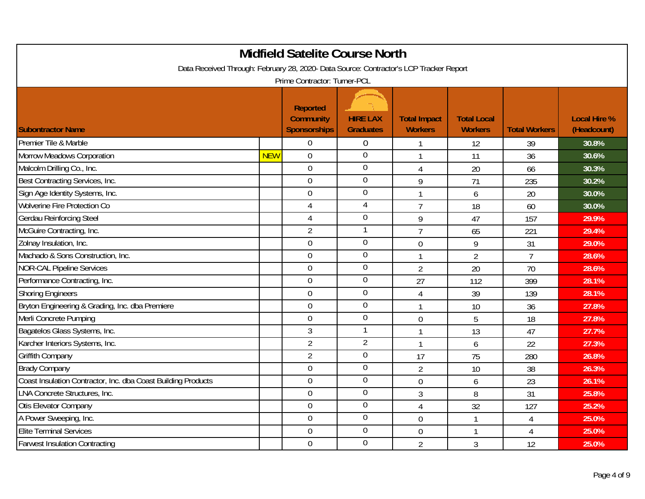|                                                                                                                        |            | <b>Midfield Satelite Course North</b>                      |                                     |                                       |                                      |                           |                                    |  |  |
|------------------------------------------------------------------------------------------------------------------------|------------|------------------------------------------------------------|-------------------------------------|---------------------------------------|--------------------------------------|---------------------------|------------------------------------|--|--|
| Data Received Through: February 28, 2020- Data Source: Contractor's LCP Tracker Report<br>Prime Contractor: Turner-PCL |            |                                                            |                                     |                                       |                                      |                           |                                    |  |  |
| <b>Subontractor Name</b>                                                                                               |            | <b>Reported</b><br><b>Community</b><br><b>Sponsorships</b> | <b>HIRE LAX</b><br><b>Graduates</b> | <b>Total Impact</b><br><b>Workers</b> | <b>Total Local</b><br><b>Workers</b> | <b>Total Workers</b>      | <b>Local Hire %</b><br>(Headcount) |  |  |
| Premier Tile & Marble                                                                                                  |            | $\overline{0}$                                             | $\boldsymbol{0}$                    | 1                                     | 12                                   | 39                        | 30.8%                              |  |  |
| Morrow Meadows Corporation                                                                                             | <b>NEW</b> | $\overline{0}$                                             | $\overline{0}$                      | $\mathbf{1}$                          | 11                                   | 36                        | 30.6%                              |  |  |
| Malcolm Drilling Co., Inc.                                                                                             |            | $\overline{0}$                                             | $\overline{0}$                      | $\overline{4}$                        | 20                                   | 66                        | 30.3%                              |  |  |
| Best Contracting Services, Inc.                                                                                        |            | $\mathbf 0$                                                | $\overline{0}$                      | 9                                     | 71                                   | 235                       | 30.2%                              |  |  |
| Sign Age Identity Systems, Inc.                                                                                        |            | $\overline{0}$                                             | $\mathbf 0$                         | $\mathbf{1}$                          | 6                                    | 20                        | 30.0%                              |  |  |
| <b>Wolverine Fire Protection Co</b>                                                                                    |            | $\overline{4}$                                             | $\overline{4}$                      | $\overline{7}$                        | 18                                   | 60                        | 30.0%                              |  |  |
| Gerdau Reinforcing Steel                                                                                               |            | 4                                                          | $\boldsymbol{0}$                    | 9                                     | 47                                   | 157                       | 29.9%                              |  |  |
| McGuire Contracting, Inc.                                                                                              |            | $\overline{2}$                                             | 1                                   | $\overline{7}$                        | 65                                   | 221                       | 29.4%                              |  |  |
| Zolnay Insulation, Inc.                                                                                                |            | $\overline{0}$                                             | $\mathbf 0$                         | $\overline{0}$                        | 9                                    | 31                        | 29.0%                              |  |  |
| Machado & Sons Construction, Inc.                                                                                      |            | $\overline{0}$                                             | $\mathbf 0$                         | 1                                     | $\overline{2}$                       | $\overline{7}$            | 28.6%                              |  |  |
| <b>NOR-CAL Pipeline Services</b>                                                                                       |            | $\overline{0}$                                             | $\mathbf 0$                         | $\overline{2}$                        | 20                                   | 70                        | 28.6%                              |  |  |
| Performance Contracting, Inc.                                                                                          |            | $\overline{0}$                                             | $\mathbf 0$                         | 27                                    | 112                                  | 399                       | 28.1%                              |  |  |
| <b>Shoring Engineers</b>                                                                                               |            | $\overline{0}$                                             | $\overline{0}$                      | 4                                     | 39                                   | 139                       | 28.1%                              |  |  |
| Bryton Engineering & Grading, Inc. dba Premiere                                                                        |            | $\overline{0}$                                             | $\mathbf 0$                         | $\mathbf{1}$                          | 10                                   | 36                        | 27.8%                              |  |  |
| Merli Concrete Pumping                                                                                                 |            | $\mathbf 0$                                                | $\boldsymbol{0}$                    | $\boldsymbol{0}$                      | 5                                    | 18                        | 27.8%                              |  |  |
| Bagatelos Glass Systems, Inc.                                                                                          |            | 3                                                          | 1                                   | $\mathbf{1}$                          | 13                                   | 47                        | 27.7%                              |  |  |
| Karcher Interiors Systems, Inc.                                                                                        |            | $\overline{2}$                                             | $\overline{2}$                      | $\mathbf{1}$                          | 6                                    | 22                        | 27.3%                              |  |  |
| Griffith Company                                                                                                       |            | $\overline{2}$                                             | $\boldsymbol{0}$                    | 17                                    | 75                                   | 280                       | 26.8%                              |  |  |
| <b>Brady Company</b>                                                                                                   |            | $\overline{0}$                                             | $\mathbf 0$                         | $\overline{2}$                        | 10                                   | 38                        | 26.3%                              |  |  |
| Coast Insulation Contractor, Inc. dba Coast Building Products                                                          |            | $\overline{0}$                                             | $\mathbf 0$                         | $\overline{0}$                        | 6                                    | 23                        | 26.1%                              |  |  |
| LNA Concrete Structures, Inc.                                                                                          |            | $\overline{0}$                                             | $\overline{0}$                      | $\mathfrak{Z}$                        | 8                                    | 31                        | 25.8%                              |  |  |
| Otis Elevator Company                                                                                                  |            | $\boldsymbol{0}$                                           | $\overline{0}$                      | 4                                     | 32                                   | 127                       | 25.2%                              |  |  |
| A Power Sweeping, Inc.                                                                                                 |            | $\mathbf 0$                                                | $\mathbf 0$                         | $\mathbf 0$                           | $\mathbf{1}$                         | 4                         | 25.0%                              |  |  |
| <b>Elite Terminal Services</b>                                                                                         |            | $\overline{0}$                                             | $\overline{0}$                      | $\overline{0}$                        | $\mathbf{1}$                         | $\boldsymbol{\varLambda}$ | 25.0%                              |  |  |
| <b>Farwest Insulation Contracting</b>                                                                                  |            | $\mathbf 0$                                                | $\theta$                            | $\overline{2}$                        | 3                                    | 12                        | 25.0%                              |  |  |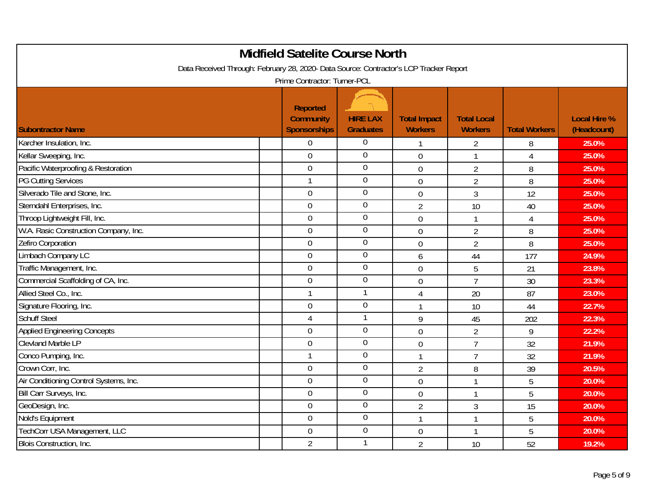|                                                                                        | <b>Midfield Satelite Course North</b>                      |                                     |                                       |                                      |                      |                                    |
|----------------------------------------------------------------------------------------|------------------------------------------------------------|-------------------------------------|---------------------------------------|--------------------------------------|----------------------|------------------------------------|
| Data Received Through: February 28, 2020- Data Source: Contractor's LCP Tracker Report | Prime Contractor: Turner-PCL                               |                                     |                                       |                                      |                      |                                    |
| <b>Subontractor Name</b>                                                               | <b>Reported</b><br><b>Community</b><br><b>Sponsorships</b> | <b>HIRE LAX</b><br><b>Graduates</b> | <b>Total Impact</b><br><b>Workers</b> | <b>Total Local</b><br><b>Workers</b> | <b>Total Workers</b> | <b>Local Hire %</b><br>(Headcount) |
| Karcher Insulation, Inc.                                                               | $\overline{0}$                                             | 0                                   | 1                                     | $\overline{2}$                       | 8                    | 25.0%                              |
| Kellar Sweeping, Inc.                                                                  | $\overline{0}$                                             | $\overline{0}$                      | $\overline{0}$                        | $\mathbf{1}$                         | 4                    | 25.0%                              |
| Pacific Waterproofing & Restoration                                                    | $\mathbf 0$                                                | $\overline{0}$                      | $\mathbf 0$                           | $\overline{2}$                       | 8                    | 25.0%                              |
| <b>PG Cutting Services</b>                                                             | $\mathbf{1}$                                               | $\overline{0}$                      | $\mathbf 0$                           | $\overline{2}$                       | 8                    | 25.0%                              |
| Silverado Tile and Stone, Inc.                                                         | $\mathbf 0$                                                | $\boldsymbol{0}$                    | $\mathbf 0$                           | 3                                    | 12                   | 25.0%                              |
| Sterndahl Enterprises, Inc.                                                            | $\overline{0}$                                             | $\boldsymbol{0}$                    | $\overline{2}$                        | 10                                   | 40                   | 25.0%                              |
| Throop Lightweight Fill, Inc.                                                          | $\overline{0}$                                             | $\boldsymbol{0}$                    | $\mathbf 0$                           | $\mathbf{1}$                         | $\overline{4}$       | 25.0%                              |
| W.A. Rasic Construction Company, Inc.                                                  | $\overline{0}$                                             | $\boldsymbol{0}$                    | $\mathbf 0$                           | $\overline{2}$                       | 8                    | 25.0%                              |
| Zefiro Corporation                                                                     | $\overline{0}$                                             | $\boldsymbol{0}$                    | $\overline{0}$                        | $\overline{2}$                       | 8                    | 25.0%                              |
| Limbach Company LC                                                                     | $\overline{0}$                                             | $\overline{0}$                      | 6                                     | 44                                   | 177                  | 24.9%                              |
| Traffic Management, Inc.                                                               | $\overline{0}$                                             | $\boldsymbol{0}$                    | $\overline{0}$                        | 5                                    | 21                   | 23.8%                              |
| Commercial Scaffolding of CA, Inc.                                                     | $\mathbf 0$                                                | $\mathbf 0$                         | $\mathbf 0$                           | $\overline{7}$                       | 30                   | 23.3%                              |
| Allied Steel Co., Inc.                                                                 | $\mathbf{1}$                                               | $\mathbf{1}$                        | 4                                     | 20                                   | 87                   | 23.0%                              |
| Signature Flooring, Inc.                                                               | $\mathbf 0$                                                | $\boldsymbol{0}$                    | $\mathbf{1}$                          | 10                                   | 44                   | 22.7%                              |
| <b>Schuff Steel</b>                                                                    | $\overline{4}$                                             | $\mathbf{1}$                        | 9                                     | 45                                   | 202                  | 22.3%                              |
| <b>Applied Engineering Concepts</b>                                                    | $\mathbf 0$                                                | $\boldsymbol{0}$                    | $\overline{0}$                        | $\overline{2}$                       | 9                    | 22.2%                              |
| <b>Clevland Marble LP</b>                                                              | $\overline{0}$                                             | $\overline{0}$                      | $\mathbf 0$                           | $\overline{7}$                       | 32                   | 21.9%                              |
| Conco Pumping, Inc.                                                                    | $\mathbf{1}$                                               | $\boldsymbol{0}$                    | $\mathbf{1}$                          | $\overline{7}$                       | 32                   | 21.9%                              |
| Crown Corr, Inc.                                                                       | $\mathbf 0$                                                | $\boldsymbol{0}$                    | $\overline{2}$                        | 8                                    | 39                   | 20.5%                              |
| Air Conditioning Control Systems, Inc.                                                 | $\overline{0}$                                             | $\mathbf 0$                         | $\overline{0}$                        | $\mathbf{1}$                         | 5                    | 20.0%                              |
| Bill Carr Surveys, Inc.                                                                | $\boldsymbol{0}$                                           | $\overline{0}$                      | $\mathbf 0$                           | 1                                    | 5                    | 20.0%                              |
| GeoDesign, Inc.                                                                        | $\overline{0}$                                             | $\overline{0}$                      | $\overline{2}$                        | $\sqrt{3}$                           | 15                   | 20.0%                              |
| Nold's Equipment                                                                       | $\mathbf 0$                                                | $\boldsymbol{0}$                    | $\mathbf{1}$                          | $\mathbf{1}$                         | 5                    | 20.0%                              |
| TechCorr USA Management, LLC                                                           | $\overline{0}$                                             | $\overline{0}$                      | $\mathbf 0$                           | $\mathbf{1}$                         | 5                    | 20.0%                              |
| Blois Construction, Inc.                                                               | $\overline{2}$                                             | 1                                   | $\overline{2}$                        | 10                                   | 52                   | 19.2%                              |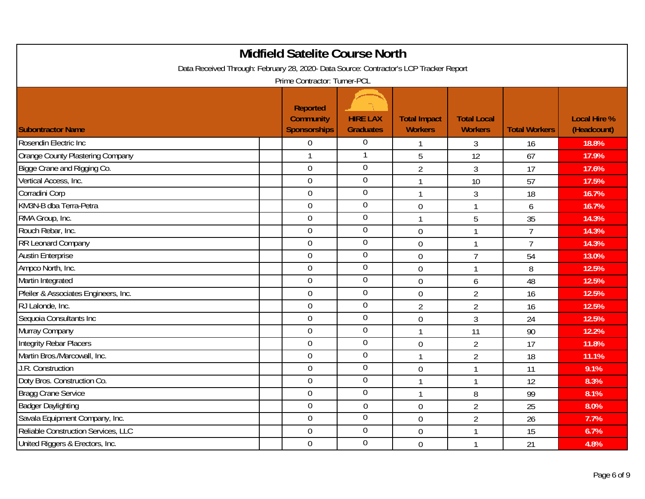|                                                                                        | <b>Midfield Satelite Course North</b>                      |                                     |                                       |                                      |                      |                                    |
|----------------------------------------------------------------------------------------|------------------------------------------------------------|-------------------------------------|---------------------------------------|--------------------------------------|----------------------|------------------------------------|
| Data Received Through: February 28, 2020- Data Source: Contractor's LCP Tracker Report | Prime Contractor: Turner-PCL                               |                                     |                                       |                                      |                      |                                    |
| <b>Subontractor Name</b>                                                               | <b>Reported</b><br><b>Community</b><br><b>Sponsorships</b> | <b>HIRE LAX</b><br><b>Graduates</b> | <b>Total Impact</b><br><b>Workers</b> | <b>Total Local</b><br><b>Workers</b> | <b>Total Workers</b> | <b>Local Hire %</b><br>(Headcount) |
| Rosendin Electric Inc                                                                  | $\boldsymbol{0}$                                           | $\boldsymbol{0}$                    | 1                                     | 3                                    | 16                   | 18.8%                              |
| <b>Orange County Plastering Company</b>                                                | 1                                                          | 1                                   | 5                                     | 12                                   | 67                   | 17.9%                              |
| Bigge Crane and Rigging Co.                                                            | $\mathbf 0$                                                | $\overline{0}$                      | $\overline{2}$                        | $\mathfrak{Z}$                       | 17                   | 17.6%                              |
| Vertical Access, Inc.                                                                  | $\overline{0}$                                             | $\boldsymbol{0}$                    | $\mathbf{1}$                          | 10                                   | 57                   | 17.5%                              |
| Corradini Corp                                                                         | $\overline{0}$                                             | $\boldsymbol{0}$                    | 1                                     | 3                                    | 18                   | 16.7%                              |
| KM3N-B dba Terra-Petra                                                                 | $\overline{0}$                                             | $\overline{0}$                      | $\mathbf 0$                           | $\mathbf{1}$                         | 6                    | 16.7%                              |
| RMA Group, Inc.                                                                        | $\mathbf 0$                                                | $\boldsymbol{0}$                    | $\mathbf{1}$                          | 5                                    | 35                   | 14.3%                              |
| Rouch Rebar, Inc.                                                                      | $\overline{0}$                                             | $\boldsymbol{0}$                    | $\mathbf 0$                           | $\mathbf{1}$                         | $\overline{7}$       | 14.3%                              |
| RR Leonard Company                                                                     | $\boldsymbol{0}$                                           | $\boldsymbol{0}$                    | $\overline{0}$                        | $\mathbf{1}$                         | $\overline{7}$       | 14.3%                              |
| <b>Austin Enterprise</b>                                                               | $\overline{0}$                                             | $\overline{0}$                      | $\mathbf 0$                           | $\overline{7}$                       | 54                   | 13.0%                              |
| Ampco North, Inc.                                                                      | $\overline{0}$                                             | $\boldsymbol{0}$                    | $\mathbf 0$                           | $\mathbf{1}$                         | 8                    | 12.5%                              |
| Martin Integrated                                                                      | $\overline{0}$                                             | $\mathbf 0$                         | $\mathbf 0$                           | 6                                    | 48                   | 12.5%                              |
| Pfeiler & Associates Engineers, Inc.                                                   | $\overline{0}$                                             | $\overline{0}$                      | $\mathbf 0$                           | $\overline{2}$                       | 16                   | 12.5%                              |
| RJ Lalonde, Inc.                                                                       | $\mathbf 0$                                                | $\boldsymbol{0}$                    | $\overline{2}$                        | $\overline{2}$                       | 16                   | 12.5%                              |
| Sequoia Consultants Inc                                                                | $\overline{0}$                                             | $\boldsymbol{0}$                    | $\boldsymbol{0}$                      | $\mathfrak{Z}$                       | 24                   | 12.5%                              |
| Murray Company                                                                         | $\overline{0}$                                             | $\boldsymbol{0}$                    | $\mathbf{1}$                          | 11                                   | 90                   | 12.2%                              |
| Integrity Rebar Placers                                                                | $\overline{0}$                                             | $\mathbf 0$                         | $\mathbf 0$                           | $\overline{2}$                       | 17                   | 11.8%                              |
| Martin Bros./Marcowall, Inc.                                                           | $\overline{0}$                                             | $\boldsymbol{0}$                    | $\mathbf{1}$                          | $\overline{2}$                       | 18                   | 11.1%                              |
| J.R. Construction                                                                      | $\mathbf 0$                                                | $\mathbf 0$                         | $\mathbf 0$                           | $\mathbf{1}$                         | 11                   | 9.1%                               |
| Doty Bros. Construction Co.                                                            | $\overline{0}$                                             | $\mathbf 0$                         | $\mathbf{1}$                          | $\mathbf{1}$                         | 12                   | 8.3%                               |
| <b>Bragg Crane Service</b>                                                             | $\mathbf 0$                                                | $\overline{0}$                      | $\mathbf{1}$                          | 8                                    | 99                   | 8.1%                               |
| <b>Badger Daylighting</b>                                                              | $\mathbf 0$                                                | $\mathbf 0$                         | $\overline{0}$                        | $\overline{2}$                       | 25                   | 8.0%                               |
| Savala Equipment Company, Inc.                                                         | $\overline{0}$                                             | $\boldsymbol{0}$                    | $\mathbf 0$                           | $\overline{2}$                       | 26                   | 7.7%                               |
| Reliable Construction Services, LLC                                                    | $\overline{0}$                                             | $\overline{0}$                      | $\mathbf 0$                           | $\mathbf{1}$                         | 15                   | 6.7%                               |
| United Riggers & Erectors, Inc.                                                        | $\mathbf 0$                                                | $\overline{0}$                      | $\mathbf 0$                           | $\mathbf{1}$                         | 21                   | 4.8%                               |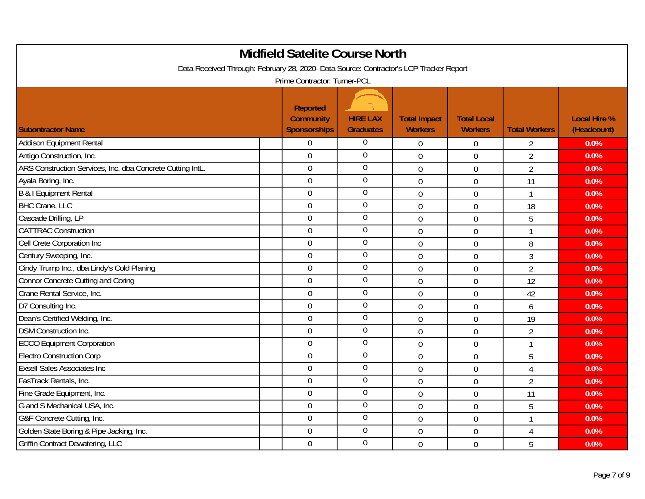| <b>Midfield Satelite Course North</b><br>Data Received Through: February 28, 2020- Data Source: Contractor's LCP Tracker Report |                                                            |                                     |                                       |                                      |                      |                                    |  |  |
|---------------------------------------------------------------------------------------------------------------------------------|------------------------------------------------------------|-------------------------------------|---------------------------------------|--------------------------------------|----------------------|------------------------------------|--|--|
|                                                                                                                                 | Prime Contractor: Turner-PCL                               |                                     |                                       |                                      |                      |                                    |  |  |
| <b>Subontractor Name</b>                                                                                                        | <b>Reported</b><br><b>Community</b><br><b>Sponsorships</b> | <b>HIRE LAX</b><br><b>Graduates</b> | <b>Total Impact</b><br><b>Workers</b> | <b>Total Local</b><br><b>Workers</b> | <b>Total Workers</b> | <b>Local Hire %</b><br>(Headcount) |  |  |
| <b>Addison Equipment Rental</b>                                                                                                 | $\Omega$                                                   | $\boldsymbol{0}$                    | $\mathbf 0$                           | 0                                    | $\overline{2}$       | 0.0%                               |  |  |
| Antigo Construction, Inc.                                                                                                       | $\overline{0}$                                             | $\overline{0}$                      | $\overline{0}$                        | $\overline{0}$                       | $\overline{2}$       | 0.0%                               |  |  |
| ARS Construction Services, Inc. dba Concrete Cutting IntL.                                                                      | $\overline{0}$                                             | $\overline{0}$                      | $\mathbf 0$                           | $\overline{0}$                       | $\overline{2}$       | 0.0%                               |  |  |
| Ayala Boring, Inc.                                                                                                              | $\overline{0}$                                             | $\overline{0}$                      | $\mathbf 0$                           | $\mathbf 0$                          | 11                   | 0.0%                               |  |  |
| <b>B &amp; I Equipment Rental</b>                                                                                               | $\overline{0}$                                             | $\mathbf 0$                         | $\mathbf 0$                           | $\overline{0}$                       | $\mathbf{1}$         | 0.0%                               |  |  |
| <b>BHC Crane, LLC</b>                                                                                                           | $\overline{0}$                                             | $\overline{0}$                      | $\overline{0}$                        | $\overline{0}$                       | 18                   | 0.0%                               |  |  |
| Cascade Drilling, LP                                                                                                            | $\boldsymbol{0}$                                           | $\boldsymbol{0}$                    | $\mathbf 0$                           | $\overline{0}$                       | 5                    | 0.0%                               |  |  |
| <b>CATTRAC Construction</b>                                                                                                     | $\overline{0}$                                             | $\boldsymbol{0}$                    | $\mathbf 0$                           | 0                                    | 1                    | 0.0%                               |  |  |
| Cell Crete Corporation Inc                                                                                                      | $\overline{0}$                                             | $\boldsymbol{0}$                    | $\overline{0}$                        | $\overline{0}$                       | 8                    | 0.0%                               |  |  |
| Century Sweeping, Inc.                                                                                                          | $\overline{0}$                                             | $\overline{0}$                      | $\mathbf 0$                           | $\overline{0}$                       | $\mathfrak{Z}$       | 0.0%                               |  |  |
| Cindy Trump Inc., dba Lindy's Cold Planing                                                                                      | $\overline{0}$                                             | $\boldsymbol{0}$                    | $\overline{0}$                        | $\overline{0}$                       | $\overline{2}$       | 0.0%                               |  |  |
| Connor Concrete Cutting and Coring                                                                                              | $\overline{0}$                                             | $\overline{0}$                      | $\overline{0}$                        | $\overline{0}$                       | 12                   | 0.0%                               |  |  |
| Crane Rental Service, Inc.                                                                                                      | $\overline{0}$                                             | $\boldsymbol{0}$                    | $\mathbf 0$                           | $\overline{0}$                       | 42                   | 0.0%                               |  |  |
| D7 Consulting Inc.                                                                                                              | $\overline{0}$                                             | $\mathbf 0$                         | $\mathbf 0$                           | 0                                    | 6                    | 0.0%                               |  |  |
| Dean's Certified Welding, Inc.                                                                                                  | $\overline{0}$                                             | $\boldsymbol{0}$                    | $\mathbf 0$                           | $\boldsymbol{0}$                     | 19                   | 0.0%                               |  |  |
| <b>DSM Construction Inc.</b>                                                                                                    | $\overline{0}$                                             | $\mathbf 0$                         | $\overline{0}$                        | $\overline{0}$                       | $\overline{2}$       | 0.0%                               |  |  |
| <b>ECCO Equipment Corporation</b>                                                                                               | $\overline{0}$                                             | $\mathbf 0$                         | $\mathbf 0$                           | $\mathbf 0$                          | 1                    | 0.0%                               |  |  |
| <b>Electro Construction Corp</b>                                                                                                | $\overline{0}$                                             | $\mathbf 0$                         | $\mathbf 0$                           | $\mathbf 0$                          | 5                    | 0.0%                               |  |  |
| <b>Exsell Sales Associates Inc</b>                                                                                              | $\overline{0}$                                             | $\boldsymbol{0}$                    | $\overline{0}$                        | $\mathbf 0$                          | 4                    | 0.0%                               |  |  |
| FasTrack Rentals, Inc.                                                                                                          | $\mathbf 0$                                                | $\boldsymbol{0}$                    | $\mathbf 0$                           | $\overline{0}$                       | $\overline{2}$       | 0.0%                               |  |  |
| Fine Grade Equipment, Inc.                                                                                                      | $\overline{0}$                                             | $\mathbf 0$                         | $\overline{0}$                        | 0                                    | 11                   | 0.0%                               |  |  |
| G and S Mechanical USA, Inc.                                                                                                    | $\mathbf 0$                                                | $\boldsymbol{0}$                    | $\mathbf 0$                           | 0                                    | 5                    | 0.0%                               |  |  |
| G&F Concrete Cutting, Inc.                                                                                                      | $\overline{0}$                                             | $\mathbf 0$                         | $\mathbf 0$                           | $\overline{0}$                       | $\mathbf{1}$         | 0.0%                               |  |  |
| Golden State Boring & Pipe Jacking, Inc.                                                                                        | $\mathbf 0$                                                | $\overline{0}$                      | $\overline{0}$                        | 0                                    | 4                    | 0.0%                               |  |  |
| Griffin Contract Dewatering, LLC                                                                                                | $\overline{0}$                                             | $\overline{0}$                      | $\overline{0}$                        | $\overline{0}$                       | 5                    | 0.0%                               |  |  |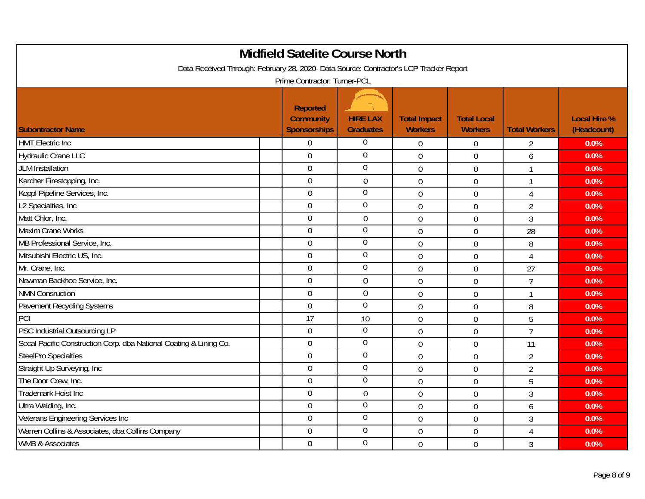|                                                                                        | <b>Midfield Satelite Course North</b>                      |                                     |                                       |                                      |                      |                                    |
|----------------------------------------------------------------------------------------|------------------------------------------------------------|-------------------------------------|---------------------------------------|--------------------------------------|----------------------|------------------------------------|
| Data Received Through: February 28, 2020- Data Source: Contractor's LCP Tracker Report |                                                            |                                     |                                       |                                      |                      |                                    |
|                                                                                        | Prime Contractor: Turner-PCL                               |                                     |                                       |                                      |                      |                                    |
| <b>Subontractor Name</b>                                                               | <b>Reported</b><br><b>Community</b><br><b>Sponsorships</b> | <b>HIRE LAX</b><br><b>Graduates</b> | <b>Total Impact</b><br><b>Workers</b> | <b>Total Local</b><br><b>Workers</b> | <b>Total Workers</b> | <b>Local Hire %</b><br>(Headcount) |
| <b>HMT</b> Electric Inc                                                                | $\overline{0}$                                             | $\mathbf 0$                         | $\boldsymbol{0}$                      | 0                                    | $\overline{2}$       | 0.0%                               |
| <b>Hydraulic Crane LLC</b>                                                             | $\overline{0}$                                             | $\overline{0}$                      | $\overline{0}$                        | $\overline{0}$                       | 6                    | 0.0%                               |
| <b>JLM Installation</b>                                                                | $\overline{0}$                                             | $\overline{0}$                      | $\mathbf 0$                           | $\boldsymbol{0}$                     |                      | 0.0%                               |
| Karcher Firestopping, Inc.                                                             | $\overline{0}$                                             | $\overline{0}$                      | $\mathbf 0$                           | $\mathbf 0$                          |                      | 0.0%                               |
| Koppl Pipeline Services, Inc.                                                          | $\overline{0}$                                             | $\boldsymbol{0}$                    | $\overline{0}$                        | $\mathbf 0$                          | 4                    | 0.0%                               |
| L2 Specialties, Inc                                                                    | $\overline{0}$                                             | $\overline{0}$                      | $\mathbf 0$                           | $\mathbf 0$                          | $\overline{2}$       | 0.0%                               |
| Matt Chlor, Inc.                                                                       | $\mathbf 0$                                                | $\boldsymbol{0}$                    | $\mathbf 0$                           | $\boldsymbol{0}$                     | $\overline{3}$       | 0.0%                               |
| <b>Maxim Crane Works</b>                                                               | $\overline{0}$                                             | $\boldsymbol{0}$                    | $\mathbf 0$                           | $\mathbf 0$                          | 28                   | 0.0%                               |
| MB Professional Service, Inc.                                                          | $\overline{0}$                                             | $\mathbf 0$                         | $\overline{0}$                        | $\overline{0}$                       | 8                    | 0.0%                               |
| Mitsubishi Electric US, Inc.                                                           | $\overline{0}$                                             | $\overline{0}$                      | $\mathbf 0$                           | $\overline{0}$                       | 4                    | 0.0%                               |
| Mr. Crane, Inc.                                                                        | $\overline{0}$                                             | $\mathbf 0$                         | $\overline{0}$                        | $\overline{0}$                       | 27                   | 0.0%                               |
| Newman Backhoe Service, Inc.                                                           | $\overline{0}$                                             | $\mathbf 0$                         | $\mathbf 0$                           | $\boldsymbol{0}$                     | $\overline{7}$       | 0.0%                               |
| <b>NMN Consruction</b>                                                                 | $\overline{0}$                                             | $\overline{0}$                      | $\mathbf 0$                           | $\mathbf 0$                          |                      | 0.0%                               |
| Pavement Recycling Systems                                                             | $\overline{0}$                                             | $\mathbf 0$                         | $\mathbf 0$                           | $\boldsymbol{0}$                     | 8                    | 0.0%                               |
| PCI                                                                                    | 17                                                         | 10                                  | $\mathbf 0$                           | $\boldsymbol{0}$                     | 5                    | 0.0%                               |
| PSC Industrial Outsourcing LP                                                          | $\mathbf 0$                                                | $\overline{0}$                      | $\overline{0}$                        | $\mathbf 0$                          | $\overline{7}$       | 0.0%                               |
| Socal Pacific Construction Corp. dba National Coating & Lining Co.                     | $\overline{0}$                                             | $\mathbf 0$                         | $\mathbf 0$                           | $\mathbf 0$                          | 11                   | 0.0%                               |
| <b>SteelPro Specialties</b>                                                            | $\overline{0}$                                             | $\boldsymbol{0}$                    | $\overline{0}$                        | $\boldsymbol{0}$                     | $\overline{2}$       | 0.0%                               |
| Straight Up Surveying, Inc.                                                            | $\overline{0}$                                             | $\mathbf 0$                         | $\mathbf 0$                           | $\mathbf 0$                          | $\overline{2}$       | 0.0%                               |
| The Door Crew, Inc.                                                                    | $\overline{0}$                                             | $\mathbf 0$                         | $\overline{0}$                        | $\overline{0}$                       | 5                    | 0.0%                               |
| Trademark Hoist Inc                                                                    | $\mathbf 0$                                                | $\boldsymbol{0}$                    | $\mathbf 0$                           | $\mathbf 0$                          | $\mathfrak{Z}$       | 0.0%                               |
| Ultra Welding, Inc.                                                                    | $\boldsymbol{0}$                                           | $\overline{0}$                      | $\overline{0}$                        | $\boldsymbol{0}$                     | 6                    | 0.0%                               |
| Veterans Engineering Services Inc                                                      | $\overline{0}$                                             | $\boldsymbol{0}$                    | $\mathbf 0$                           | $\boldsymbol{0}$                     | 3                    | 0.0%                               |
| Warren Collins & Associates, dba Collins Company                                       | $\overline{0}$                                             | $\overline{0}$                      | $\mathbf 0$                           | $\boldsymbol{0}$                     | 4                    | 0.0%                               |
| <b>WMB &amp; Associates</b>                                                            | $\mathbf 0$                                                | $\overline{0}$                      | $\mathbf 0$                           | $\boldsymbol{0}$                     | $\mathfrak{Z}$       | 0.0%                               |